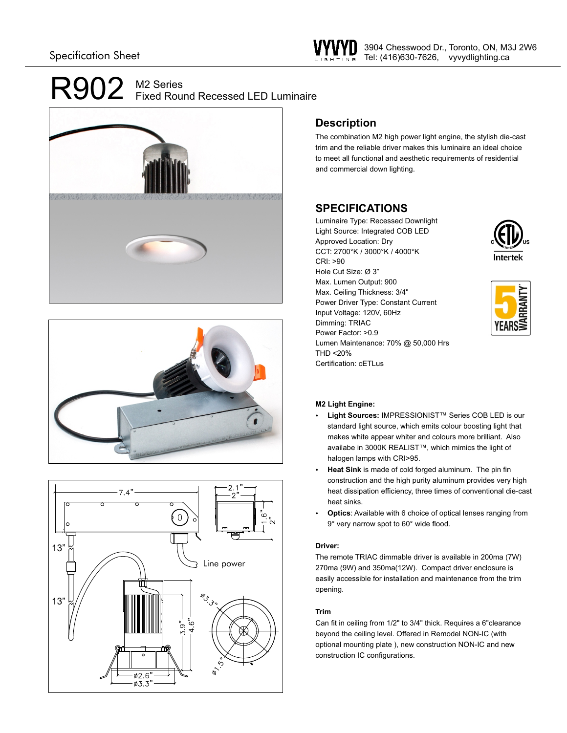# $R902$  M2 Series Fixed Round Recessed LED Luminaire







### **Description**

The combination M2 high power light engine, the stylish die-cast trim and the reliable driver makes this luminaire an ideal choice to meet all functional and aesthetic requirements of residential and commercial down lighting.

## **SPECIFICATIONS**

Luminaire Type: Recessed Downlight Light Source: Integrated COB LED Approved Location: Dry CCT: 2700°K / 3000°K / 4000°K CRI: >90 Hole Cut Size: Ø 3" Max. Lumen Output: 900 Max. Ceiling Thickness: 3/4" Power Driver Type: Constant Current Input Voltage: 120V, 60Hz Dimming: TRIAC Power Factor: >0.9 Lumen Maintenance: 70% @ 50,000 Hrs THD <20% Certification: cETLus





### **M2 Light Engine:**

- Ÿ **Light Sources:** IMPRESSIONIST™ Series COB LED is our standard light source, which emits colour boosting light that makes white appear whiter and colours more brilliant. Also availabe in 3000K REALIST™, which mimics the light of halogen lamps with CRI>95.
- Heat Sink is made of cold forged aluminum. The pin fin construction and the high purity aluminum provides very high heat dissipation efficiency, three times of conventional die-cast heat sinks.
- **Optics:** Available with 6 choice of optical lenses ranging from 9° very narrow spot to 60° wide flood.

### **Driver:**

The remote TRIAC dimmable driver is available in 200ma (7W) 270ma (9W) and 350ma(12W). Compact driver enclosure is easily accessible for installation and maintenance from the trim opening.

### **Trim**

Can fit in ceiling from 1/2" to 3/4" thick. Requires a 6"clearance beyond the ceiling level. Offered in Remodel NON-IC (with optional mounting plate ), new construction NON-IC and new construction IC configurations.